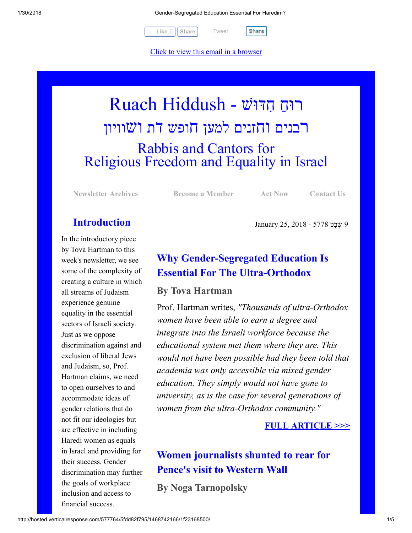1/30/2018 Gender-Segregated Education Essential For Haredim?

[Tweet](https://twitter.com/intent/tweet?original_referer=http%3A%2F%2Fhosted.verticalresponse.com%2F577764%2F5fdd82f795%2F1468742166%2F1f23168500%2F&ref_src=twsrc%5Etfw&text=Gender-Segregated%20Education%20Essential%20For%20Haredim%3F%3A&tw_p=tweetbutton&url=http%3A%2F%2Fhosted-p0.vresp.com%2F577764%2F5fdd82f795%2FARCHIVE%23.WnBOGHKqqjw.twitter)

 $Like 0$   $\vert$  [Share](javascript:void(0);)  $\vert$  Tweet  $\vert$  Share

[Click to view this email in a browser](http://hosted.verticalresponse.com/577764/5fdd82f795/TEST/TEST/)

# רוּחַ חִדּוּשׁ - Ruach Hiddush רבנים וחזנים למען חופש דת ושוויון Rabbis and Cantors for Religious Freedom and Equality in Israel

[Newsletter Archives](http://cts.vresp.com/c/?FreedomofReligionfor/5fdd82f795/1f23168500/e4db5ea137) [Become a Member](http://cts.vresp.com/c/?FreedomofReligionfor/5fdd82f795/1f23168500/5b67f71a59) [Act Now](http://cts.vresp.com/c/?FreedomofReligionfor/5fdd82f795/1f23168500/d06c5395b0) [Contact Us](http://cts.vresp.com/c/?FreedomofReligionfor/5fdd82f795/1f23168500/f880a3e72b)

9 ְשָׁבט 5778 - 2018 25, January

### Introduction

In the introductory piece by Tova Hartman to this week's newsletter, we see some of the complexity of creating a culture in which all streams of Judaism experience genuine equality in the essential sectors of Israeli society. Just as we oppose discrimination against and exclusion of liberal Jews and Judaism, so, Prof. Hartman claims, we need to open ourselves to and accommodate ideas of gender relations that do not fit our ideologies but are effective in including Haredi women as equals in Israel and providing for their success. Gender discrimination may further the goals of workplace inclusion and access to financial success.

## Why Gender-Segregated Education Is Essential For The Ultra-Orthodox

### By Tova Hartman

Prof. Hartman writes, *"Thousands of ultra-Orthodox women have been able to earn a degree and integrate into the Israeli workforce because the educational system met them where they are. This would not have been possible had they been told that academia was only accessible via mixed gender education. They simply would not have gone to university, as is the case for several generations of women from the ultra-Orthodox community."*

### [FULL ARTICLE >>>](http://cts.vresp.com/c/?FreedomofReligionfor/5fdd82f795/1f23168500/84a374e93f)

### Women journalists shunted to rear for Pence's visit to Western Wall

By Noga Tarnopolsky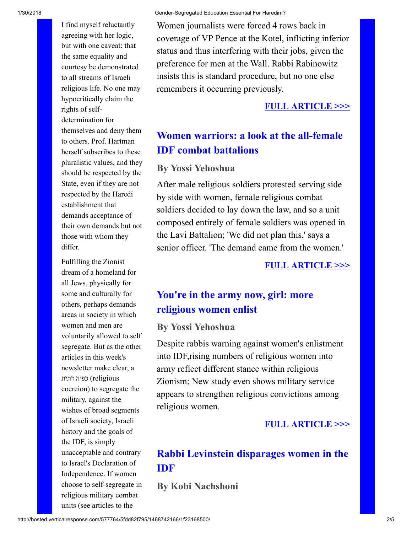I find myself reluctantly agreeing with her logic, but with one caveat: that the same equality and courtesy be demonstrated to all streams of Israeli religious life. No one may hypocritically claim the rights of selfdetermination for themselves and deny them to others. Prof. Hartman herself subscribes to these pluralistic values, and they should be respected by the State, even if they are not respected by the Haredi establishment that demands acceptance of their own demands but not those with whom they differ.

Fulfilling the Zionist dream of a homeland for all Jews, physically for some and culturally for others, perhaps demands areas in society in which women and men are voluntarily allowed to self segregate. But as the other articles in this week's newsletter make clear, a religious (כפיה דתית coercion) to segregate the military, against the wishes of broad segments of Israeli society, Israeli history and the goals of the IDF, is simply unacceptable and contrary to Israel's Declaration of Independence. If women choose to self-segregate in religious military combat units (see articles to the

Women journalists were forced 4 rows back in coverage of VP Pence at the Kotel, inflicting inferior status and thus interfering with their jobs, given the preference for men at the Wall. Rabbi Rabinowitz insists this is standard procedure, but no one else remembers it occurring previously.

#### [FULL ARTICLE >>>](http://cts.vresp.com/c/?FreedomofReligionfor/5fdd82f795/1f23168500/dfab7c65f1)

### Women warriors: a look at the all-female IDF combat battalions

### By Yossi Yehoshua

After male religious soldiers protested serving side by side with women, female religious combat soldiers decided to lay down the law, and so a unit composed entirely of female soldiers was opened in the Lavi Battalion; 'We did not plan this,' says a senior officer. 'The demand came from the women.'

#### [FULL ARTICLE >>>](http://cts.vresp.com/c/?FreedomofReligionfor/5fdd82f795/1f23168500/4fbc4ef207)

### You're in the army now, girl: more religious women enlist

#### By Yossi Yehoshua

Despite rabbis warning against women's enlistment into IDF,rising numbers of religious women into army reflect different stance within religious Zionism; New study even shows military service appears to strengthen religious convictions among religious women.

#### [FULL ARTICLE >>>](http://cts.vresp.com/c/?FreedomofReligionfor/5fdd82f795/1f23168500/c63d5a409e)

### Rabbi Levinstein disparages women in the IDF

### By Kobi Nachshoni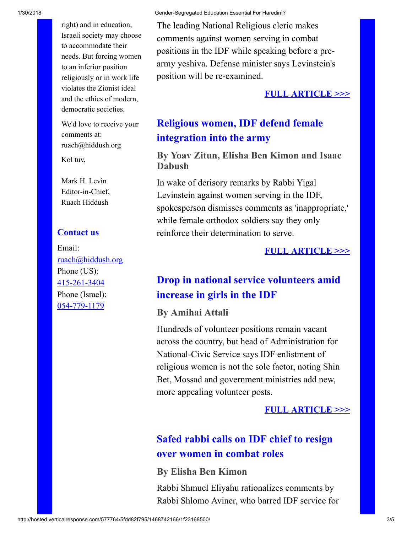right) and in education, Israeli society may choose to accommodate their needs. But forcing women to an inferior position religiously or in work life violates the Zionist ideal and the ethics of modern, democratic societies.

We'd love to receive your comments at: ruach@hiddush.org

Kol tuv,

Mark H. Levin Editor-in-Chief, Ruach Hiddush

#### Contact us

Email: [ruach@hiddush.org](http://cts.vresp.com/c/?FreedomofReligionfor/5fdd82f795/1f23168500/226a8a86ed) Phone (US): [415-261-3404](http://cts.vresp.com/c/?FreedomofReligionfor/5fdd82f795/1f23168500/450f845b67) Phone (Israel): [054-779-1179](http://cts.vresp.com/c/?FreedomofReligionfor/5fdd82f795/1f23168500/91bba6d32d)

The leading National Religious cleric makes comments against women serving in combat positions in the IDF while speaking before a prearmy yeshiva. Defense minister says Levinstein's position will be re-examined.

#### [FULL ARTICLE >>>](http://cts.vresp.com/c/?FreedomofReligionfor/5fdd82f795/1f23168500/23379ccdb5)

### Religious women, IDF defend female integration into the army

### By Yoav Zitun, Elisha Ben Kimon and Isaac Dabush

In wake of derisory remarks by Rabbi Yigal Levinstein against women serving in the IDF, spokesperson dismisses comments as 'inappropriate,' while female orthodox soldiers say they only reinforce their determination to serve.

#### [FULL ARTICLE >>>](http://cts.vresp.com/c/?FreedomofReligionfor/5fdd82f795/1f23168500/177d9f4271)

### Drop in national service volunteers amid increase in girls in the IDF

#### By Amihai Attali

Hundreds of volunteer positions remain vacant across the country, but head of Administration for National-Civic Service says IDF enlistment of religious women is not the sole factor, noting Shin Bet, Mossad and government ministries add new, more appealing volunteer posts.

#### [FULL ARTICLE >>>](http://cts.vresp.com/c/?FreedomofReligionfor/5fdd82f795/1f23168500/07732f4abd)

### Safed rabbi calls on IDF chief to resign over women in combat roles

#### By Elisha Ben Kimon

Rabbi Shmuel Eliyahu rationalizes comments by Rabbi Shlomo Aviner, who barred IDF service for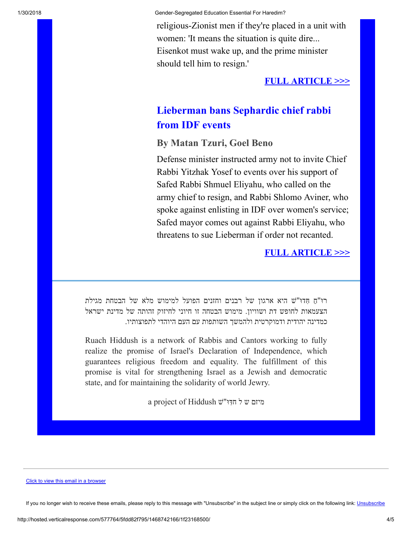1/30/2018 Gender-Segregated Education Essential For Haredim?

religious-Zionist men if they're placed in a unit with women: 'It means the situation is quite dire... Eisenkot must wake up, and the prime minister should tell him to resign.'

#### [FULL ARTICLE >>>](http://cts.vresp.com/c/?FreedomofReligionfor/5fdd82f795/1f23168500/b89cc68474)

### Lieberman bans Sephardic chief rabbi from IDF events

#### By Matan Tzuri, Goel Beno

Defense minister instructed army not to invite Chief Rabbi Yitzhak Yosef to events over his support of Safed Rabbi Shmuel Eliyahu, who called on the army chief to resign, and Rabbi Shlomo Aviner, who spoke against enlisting in IDF over women's service; Safed mayor comes out against Rabbi Eliyahu, who threatens to sue Lieberman if order not recanted.

#### [FULL ARTICLE >>>](http://cts.vresp.com/c/?FreedomofReligionfor/5fdd82f795/1f23168500/cba8fc6034)

ַ רוּ"ח ִ ּ חדוּ"שׁ היא ארגון של רבנים וחזנים הפועל למימוש מלא של הבטחת מגילת הצעמאות לחופש דת ושוויון. מימוש הבטחה זו חיוני לחיזוק זהותה של מדינת ישראל כמדינה יהודית ודמוקרטית ולהמשך השותפות עם העם היוהדי לתפוצותיו.

Ruach Hiddush is a network of Rabbis and Cantors working to fully realize the promise of Israel's Declaration of Independence, which guarantees religious freedom and equality. The fulfillment of this promise is vital for strengthening Israel as a Jewish and democratic state, and for maintaining the solidarity of world Jewry.

a project of Hiddush מיזם ש ל חדִּוּ"ש

#### [Click to view this email in a browser](http://hosted.verticalresponse.com/577764/5fdd82f795/TEST/TEST/)

If you no longer wish to receive these emails, please reply to this message with "[Unsubscribe](http://cts.vresp.com/u?5fdd82f795/1f23168500/)" in the subject line or simply click on the following link: Unsubscribe